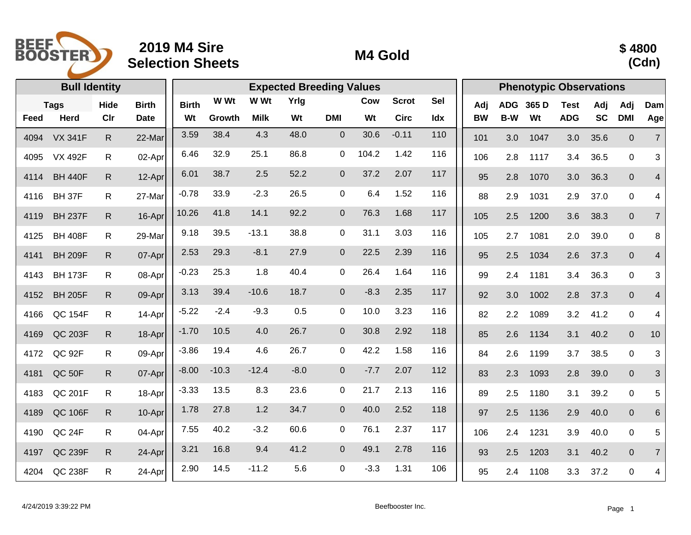

## **2019 M4 Sire Selection Sheets M4 Gold**



|      | <b>Bull Identity</b> |              |              |              |         | <b>Phenotypic Observations</b> |        |                |        |              |            |           |            |       |             |           |                |                |
|------|----------------------|--------------|--------------|--------------|---------|--------------------------------|--------|----------------|--------|--------------|------------|-----------|------------|-------|-------------|-----------|----------------|----------------|
|      | <b>Tags</b>          | Hide         | <b>Birth</b> | <b>Birth</b> | W Wt    | W Wt                           | Yrlg   |                | Cow    | <b>Scrot</b> | <b>Sel</b> | Adj       | <b>ADG</b> | 365 D | <b>Test</b> | Adj       | Adj            | Dam            |
| Feed | <b>Herd</b>          | Cir          | <b>Date</b>  | Wt           | Growth  | <b>Milk</b>                    | Wt     | <b>DMI</b>     | Wt     | <b>Circ</b>  | Idx        | <b>BW</b> | B-W        | Wt    | <b>ADG</b>  | <b>SC</b> | <b>DMI</b>     | Age            |
| 4094 | <b>VX 341F</b>       | $\mathsf{R}$ | 22-Mar       | 3.59         | 38.4    | 4.3                            | 48.0   | $\overline{0}$ | 30.6   | $-0.11$      | 110        | 101       | 3.0        | 1047  | 3.0         | 35.6      | $\overline{0}$ | $\overline{7}$ |
| 4095 | <b>VX 492F</b>       | R.           | 02-Apr       | 6.46         | 32.9    | 25.1                           | 86.8   | $\mathbf 0$    | 104.2  | 1.42         | 116        | 106       | 2.8        | 1117  | 3.4         | 36.5      | $\mathbf 0$    | 3              |
| 4114 | <b>BH 440F</b>       | $\mathsf{R}$ | 12-Apr       | 6.01         | 38.7    | 2.5                            | 52.2   | $\mathbf 0$    | 37.2   | 2.07         | 117        | 95        | 2.8        | 1070  | 3.0         | 36.3      | $\mathbf{0}$   | $\overline{4}$ |
| 4116 | BH 37F               | R.           | 27-Mar       | $-0.78$      | 33.9    | $-2.3$                         | 26.5   | $\mathbf 0$    | 6.4    | 1.52         | 116        | 88        | 2.9        | 1031  | 2.9         | 37.0      | $\mathbf 0$    | 4              |
| 4119 | <b>BH 237F</b>       | $\mathsf{R}$ | 16-Apr       | 10.26        | 41.8    | 14.1                           | 92.2   | $\mathbf 0$    | 76.3   | 1.68         | 117        | 105       | 2.5        | 1200  | 3.6         | 38.3      | $\pmb{0}$      | $\overline{7}$ |
| 4125 | <b>BH 408F</b>       | R.           | 29-Mar       | 9.18         | 39.5    | $-13.1$                        | 38.8   | $\mathbf 0$    | 31.1   | 3.03         | 116        | 105       | 2.7        | 1081  | 2.0         | 39.0      | $\mathbf 0$    | 8              |
| 4141 | <b>BH 209F</b>       | $\mathsf{R}$ | 07-Apr       | 2.53         | 29.3    | $-8.1$                         | 27.9   | $\mathbf{0}$   | 22.5   | 2.39         | 116        | 95        | 2.5        | 1034  | 2.6         | 37.3      | $\mathbf{0}$   | $\overline{4}$ |
| 4143 | <b>BH 173F</b>       | R.           | 08-Apr       | $-0.23$      | 25.3    | 1.8                            | 40.4   | 0              | 26.4   | 1.64         | 116        | 99        | 2.4        | 1181  | 3.4         | 36.3      | $\mathbf{0}$   | 3              |
| 4152 | <b>BH 205F</b>       | R.           | 09-Apr       | 3.13         | 39.4    | $-10.6$                        | 18.7   | $\mathbf{0}$   | $-8.3$ | 2.35         | 117        | 92        | 3.0        | 1002  | 2.8         | 37.3      | $\overline{0}$ | 4              |
| 4166 | <b>QC 154F</b>       | R.           | 14-Apr       | $-5.22$      | $-2.4$  | $-9.3$                         | 0.5    | 0              | 10.0   | 3.23         | 116        | 82        | 2.2        | 1089  | 3.2         | 41.2      | $\mathbf 0$    | 4              |
| 4169 | QC 203F              | $\mathsf{R}$ | 18-Apr       | $-1.70$      | 10.5    | 4.0                            | 26.7   | $\mathbf 0$    | 30.8   | 2.92         | 118        | 85        | 2.6        | 1134  | 3.1         | 40.2      | $\mathbf{0}$   | 10             |
| 4172 | QC 92F               | R.           | 09-Apr       | $-3.86$      | 19.4    | 4.6                            | 26.7   | $\mathbf 0$    | 42.2   | 1.58         | 116        | 84        | 2.6        | 1199  | 3.7         | 38.5      | $\mathbf 0$    | 3              |
| 4181 | QC 50F               | $\mathsf{R}$ | 07-Apr       | $-8.00$      | $-10.3$ | $-12.4$                        | $-8.0$ | $\overline{0}$ | $-7.7$ | 2.07         | 112        | 83        | 2.3        | 1093  | 2.8         | 39.0      | $\mathbf 0$    | $\mathbf{3}$   |
| 4183 | QC 201F              | R.           | 18-Apr       | $-3.33$      | 13.5    | 8.3                            | 23.6   | 0              | 21.7   | 2.13         | 116        | 89        | 2.5        | 1180  | 3.1         | 39.2      | $\mathbf 0$    | 5              |
| 4189 | <b>QC 106F</b>       | $\mathsf{R}$ | 10-Apr       | 1.78         | 27.8    | 1.2                            | 34.7   | $\mathbf 0$    | 40.0   | 2.52         | 118        | 97        | 2.5        | 1136  | 2.9         | 40.0      | $\mathbf 0$    | 6              |
| 4190 | QC 24F               | R.           | 04-Apr       | 7.55         | 40.2    | $-3.2$                         | 60.6   | $\Omega$       | 76.1   | 2.37         | 117        | 106       | 2.4        | 1231  | 3.9         | 40.0      | $\mathbf 0$    | 5              |
| 4197 | QC 239F              | R.           | 24-Apr       | 3.21         | 16.8    | 9.4                            | 41.2   | $\mathbf 0$    | 49.1   | 2.78         | 116        | 93        | 2.5        | 1203  | 3.1         | 40.2      | $\overline{0}$ | $\overline{7}$ |
| 4204 | QC 238F              | $\mathsf{R}$ | $24-Apr$     | 2.90         | 14.5    | $-11.2$                        | 5.6    | $\mathbf 0$    | $-3.3$ | 1.31         | 106        | 95        | 2.4        | 1108  | 3.3         | 37.2      | $\mathbf 0$    | 4              |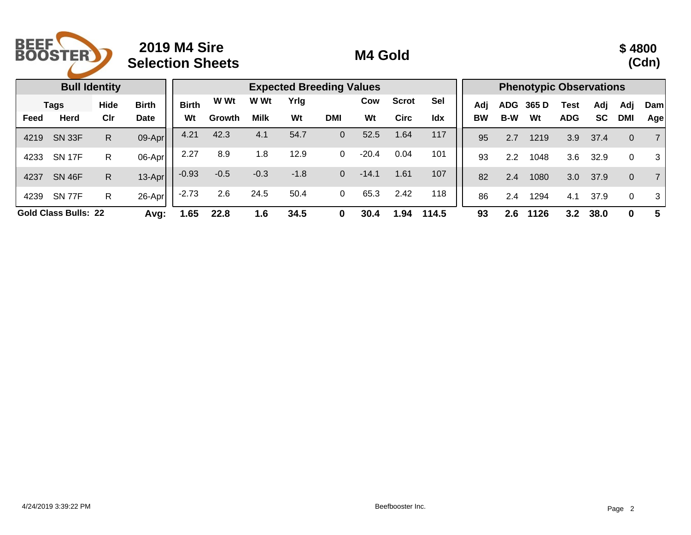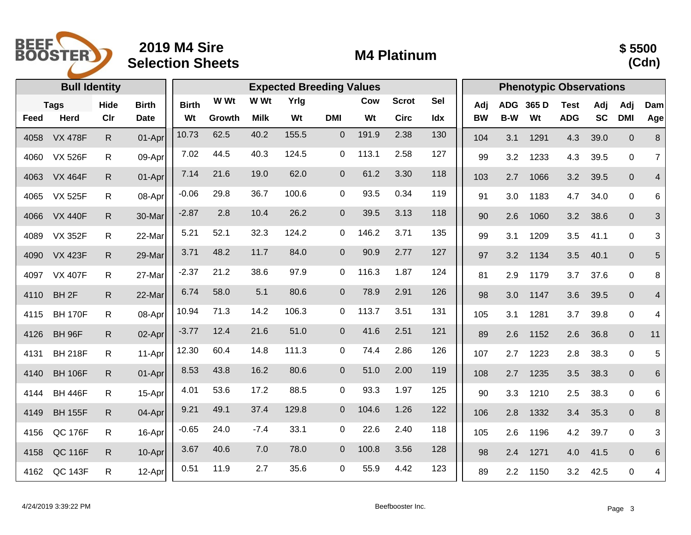

## **2019 M4 Sire Selection Sheets M4 Platinum**



|      | <b>Bull Identity</b> |              |              |              |        | <b>Phenotypic Observations</b> |       |                |       |              |            |           |            |       |             |           |                  |                |
|------|----------------------|--------------|--------------|--------------|--------|--------------------------------|-------|----------------|-------|--------------|------------|-----------|------------|-------|-------------|-----------|------------------|----------------|
|      | <b>Tags</b>          | Hide         | <b>Birth</b> | <b>Birth</b> | W Wt   | W Wt                           | Yrlg  |                | Cow   | <b>Scrot</b> | <b>Sel</b> | Adj       | <b>ADG</b> | 365 D | <b>Test</b> | Adj       | Adj              | Dam            |
| Feed | <b>Herd</b>          | Clr          | <b>Date</b>  | Wt           | Growth | <b>Milk</b>                    | Wt    | <b>DMI</b>     | Wt    | <b>Circ</b>  | Idx        | <b>BW</b> | B-W        | Wt    | <b>ADG</b>  | <b>SC</b> | <b>DMI</b>       | Age            |
| 4058 | <b>VX 478F</b>       | $\mathsf{R}$ | 01-Apr       | 10.73        | 62.5   | 40.2                           | 155.5 | $\mathbf 0$    | 191.9 | 2.38         | 130        | 104       | 3.1        | 1291  | 4.3         | 39.0      | $\boldsymbol{0}$ | $\,8\,$        |
| 4060 | <b>VX 526F</b>       | R.           | 09-Apr       | 7.02         | 44.5   | 40.3                           | 124.5 | $\mathbf 0$    | 113.1 | 2.58         | 127        | 99        | 3.2        | 1233  | 4.3         | 39.5      | $\mathbf 0$      | $\overline{7}$ |
| 4063 | <b>VX 464F</b>       | R.           | 01-Apr       | 7.14         | 21.6   | 19.0                           | 62.0  | $\mathbf 0$    | 61.2  | 3.30         | 118        | 103       | 2.7        | 1066  | 3.2         | 39.5      | $\mathbf 0$      | $\overline{4}$ |
| 4065 | <b>VX 525F</b>       | R.           | 08-Apr       | $-0.06$      | 29.8   | 36.7                           | 100.6 | 0              | 93.5  | 0.34         | 119        | 91        | 3.0        | 1183  | 4.7         | 34.0      | $\mathbf 0$      | 6              |
| 4066 | <b>VX 440F</b>       | $\mathsf{R}$ | 30-Mar       | $-2.87$      | 2.8    | 10.4                           | 26.2  | $\pmb{0}$      | 39.5  | 3.13         | 118        | 90        | 2.6        | 1060  | 3.2         | 38.6      | $\mathbf{0}$     | $\mathfrak{S}$ |
| 4089 | <b>VX 352F</b>       | R.           | 22-Mar       | 5.21         | 52.1   | 32.3                           | 124.2 | 0              | 146.2 | 3.71         | 135        | 99        | 3.1        | 1209  | 3.5         | 41.1      | $\mathbf 0$      | 3              |
| 4090 | <b>VX 423F</b>       | R.           | 29-Mar       | 3.71         | 48.2   | 11.7                           | 84.0  | $\overline{0}$ | 90.9  | 2.77         | 127        | 97        | 3.2        | 1134  | 3.5         | 40.1      | $\mathbf{0}$     | 5              |
| 4097 | <b>VX 407F</b>       | R.           | 27-Mar       | $-2.37$      | 21.2   | 38.6                           | 97.9  | 0              | 116.3 | 1.87         | 124        | 81        | 2.9        | 1179  | 3.7         | 37.6      | $\mathbf 0$      | 8              |
| 4110 | BH <sub>2F</sub>     | $\mathsf{R}$ | 22-Mar       | 6.74         | 58.0   | 5.1                            | 80.6  | $\mathbf 0$    | 78.9  | 2.91         | 126        | 98        | 3.0        | 1147  | 3.6         | 39.5      | $\mathbf 0$      | $\overline{4}$ |
| 4115 | <b>BH 170F</b>       | R.           | 08-Apr       | 10.94        | 71.3   | 14.2                           | 106.3 | 0              | 113.7 | 3.51         | 131        | 105       | 3.1        | 1281  | 3.7         | 39.8      | $\mathbf 0$      | 4              |
| 4126 | <b>BH 96F</b>        | R.           | 02-Apr       | $-3.77$      | 12.4   | 21.6                           | 51.0  | $\mathbf 0$    | 41.6  | 2.51         | 121        | 89        | 2.6        | 1152  | 2.6         | 36.8      | $\overline{0}$   | 11             |
| 4131 | <b>BH 218F</b>       | $\mathsf{R}$ | 11-Apr       | 12.30        | 60.4   | 14.8                           | 111.3 | $\Omega$       | 74.4  | 2.86         | 126        | 107       | 2.7        | 1223  | 2.8         | 38.3      | $\mathbf 0$      | 5              |
| 4140 | <b>BH 106F</b>       | R.           | 01-Apr       | 8.53         | 43.8   | 16.2                           | 80.6  | $\mathbf 0$    | 51.0  | 2.00         | 119        | 108       | 2.7        | 1235  | 3.5         | 38.3      | $\mathbf{0}$     | $6\phantom{1}$ |
| 4144 | <b>BH 446F</b>       | R.           | 15-Apr       | 4.01         | 53.6   | 17.2                           | 88.5  | 0              | 93.3  | 1.97         | 125        | 90        | 3.3        | 1210  | 2.5         | 38.3      | $\mathbf 0$      | $\,6$          |
| 4149 | <b>BH 155F</b>       | R.           | 04-Apr       | 9.21         | 49.1   | 37.4                           | 129.8 | $\mathbf 0$    | 104.6 | 1.26         | 122        | 106       | 2.8        | 1332  | 3.4         | 35.3      | $\mathbf{0}$     | 8              |
| 4156 | <b>QC 176F</b>       | R            | 16-Apr       | $-0.65$      | 24.0   | $-7.4$                         | 33.1  | 0              | 22.6  | 2.40         | 118        | 105       | 2.6        | 1196  | 4.2         | 39.7      | $\mathbf 0$      | $\mathbf{3}$   |
| 4158 | <b>QC 116F</b>       | R.           | 10-Apr       | 3.67         | 40.6   | 7.0                            | 78.0  | $\mathbf 0$    | 100.8 | 3.56         | 128        | 98        | 2.4        | 1271  | 4.0         | 41.5      | $\mathbf{0}$     | 6              |
| 4162 | <b>QC 143F</b>       | $\mathsf{R}$ | 12-Apr       | 0.51         | 11.9   | 2.7                            | 35.6  | $\mathbf 0$    | 55.9  | 4.42         | 123        | 89        | 2.2        | 1150  | 3.2         | 42.5      | $\mathbf 0$      | 4              |